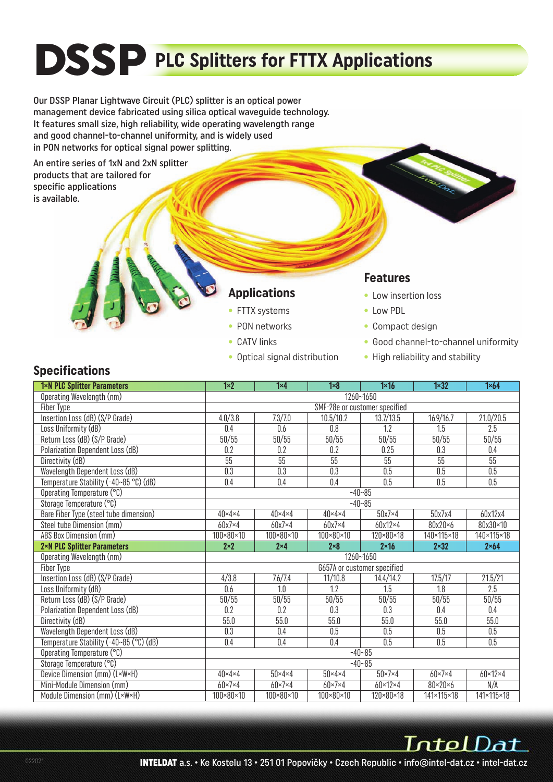# **DSSP** PLC Splitters for FTTX Applications

Our DSSP Planar Lightwave Circuit (PLC) splitter is an optical power management device fabricated using silica optical waveguide technology. It features small size, high reliability, wide operating wavelength range and good channel-to-channel uniformity, and is widely used in PON networks for optical signal power splitting.

An entire series of 1xN and 2xN splitter products that are tailored for specific applications is available.

#### **Applications**

- FTTX systems
- PON networks
- CATV links
- Optical signal distribution

#### **Features**

- Low insertion loss
- Low PDL
- Compact design
- Good channel-to-channel uniformity
- High reliability and stability

#### **Specifications**

| 1×N PLC Splitter Parameters                                 | $1 \times 2$                        | $1 \times 4$                        | $1 \times 8$                        | $1 \times 16$                        | $1 \times 32$          | $1 \times 64$           |  |  |  |  |
|-------------------------------------------------------------|-------------------------------------|-------------------------------------|-------------------------------------|--------------------------------------|------------------------|-------------------------|--|--|--|--|
| Operating Wavelength (nm)                                   | 1260~1650                           |                                     |                                     |                                      |                        |                         |  |  |  |  |
| <b>Fiber Type</b>                                           | SMF-28e or customer specified       |                                     |                                     |                                      |                        |                         |  |  |  |  |
| Insertion Loss (dB) (S/P Grade)                             | 4.0/3.8                             | 7.3/7.0                             | 10.5/10.2                           | 13.7/13.5                            | 16.9/16.7              | 21.0/20.5               |  |  |  |  |
| Loss Uniformity (dB)                                        | 0.4                                 | 0.6                                 | 0.8                                 | 1.2                                  | 1.5                    | 2.5                     |  |  |  |  |
| Return Loss (dB) (S/P Grade)                                | 50/55                               | 50/55                               | 50/55                               | 50/55                                | 50/55                  | 50/55                   |  |  |  |  |
| Polarization Dependent Loss (dB)                            | 0.2                                 | 0.2                                 | $\overline{0.2}$                    | 0.25                                 | 0.3                    | 0.4                     |  |  |  |  |
| Directivity (dB)                                            | 55                                  | 55                                  | 55                                  | 55                                   | 55                     | 55                      |  |  |  |  |
| Wavelength Dependent Loss (dB)                              | $\overline{0.3}$                    | $\overline{0.3}$                    | $\overline{0.3}$                    | $\overline{0.5}$                     | $\overline{0.5}$       | 0.5                     |  |  |  |  |
| Temperature Stability (-40~85 °C) (dB)                      | 0.4                                 | 0.4                                 | 0.4                                 | 0.5                                  | 0.5                    | 0.5                     |  |  |  |  |
| Operating Temperature (°C)                                  | $-40 - 85$                          |                                     |                                     |                                      |                        |                         |  |  |  |  |
| Storage Temperature (°C)                                    | $-40 - 85$                          |                                     |                                     |                                      |                        |                         |  |  |  |  |
| Bare Fiber Type (steel tube dimension)                      | $40 \times 4 \times 4$              | $40 \times 4 \times 4$              | $40 \times 4 \times 4$              | $50x7\times4$                        | 50x7x4                 | 60x12x4                 |  |  |  |  |
| Steel tube Dimension (mm)                                   | $60x7\times4$                       | $60x7\times4$                       | $60x7\times4$                       | 60x12×4                              | 80x20×6                | 80x30×10                |  |  |  |  |
| ABS Box Dimension (mm)                                      | $100 \times 80 \times 10$           | 100×80×10                           | 100×80×10                           | 120×80×18                            | 140×115×18             | 140×115×18              |  |  |  |  |
| 2×N PLC Splitter Parameters                                 | $2\times 2$                         | $2\times 4$                         | $2 \times 8$                        | $2 \times 16$                        | $2 \times 32$          | $2 \times 64$           |  |  |  |  |
| Operating Wavelength (nm)                                   | 1260~1650                           |                                     |                                     |                                      |                        |                         |  |  |  |  |
| Fiber Type                                                  | G657A or customer specified         |                                     |                                     |                                      |                        |                         |  |  |  |  |
| Insertion Loss (dB) (S/P Grade)                             | 4/3.8                               | 7.6/7.4                             | 11/10.8                             | 14.4/14.2                            | 17.5/17                | 21.5/21                 |  |  |  |  |
| Loss Uniformity (dB)                                        | 0.6                                 | 1.0                                 | 1.2                                 | 1.5                                  | 1.8                    | $\overline{2.5}$        |  |  |  |  |
| Return Loss (dB) (S/P Grade)                                | 50/55                               | 50/55                               | 50/55                               | 50/55                                | 50/55                  | 50/55                   |  |  |  |  |
| Polarization Dependent Loss (dB)                            | 0.2                                 | $\overline{0.2}$                    | $\overline{0.3}$                    | $\overline{0.3}$                     | 0.4                    | $\overline{0.4}$        |  |  |  |  |
| Directivity (dB)                                            | 55.0                                | 55.0                                | 55.0                                | 55.0                                 | 55.0                   | 55.0                    |  |  |  |  |
| Wavelength Dependent Loss (dB)                              | 0.3                                 | 0.4                                 | 0.5                                 | 0.5                                  | $0.5\,$                | 0.5                     |  |  |  |  |
| Temperature Stability (-40~85 (°C) (dB)                     | 0.4                                 | $\overline{0.4}$                    | 0.4                                 | 0.5                                  | $\overline{0.5}$       | 0.5                     |  |  |  |  |
| Operating Temperature (°C)                                  | $-40 - 85$                          |                                     |                                     |                                      |                        |                         |  |  |  |  |
|                                                             | $-40 - 85$                          |                                     |                                     |                                      |                        |                         |  |  |  |  |
| Storage Temperature (°C)                                    |                                     |                                     |                                     |                                      |                        |                         |  |  |  |  |
| Device Dimension (mm) (L×W×H)                               | $40 \times 4 \times 4$              | $50 \times 4 \times 4$              | $50 \times 4 \times 4$              | $50 \times 7 \times 4$               | $60 \times 7 \times 4$ | $60 \times 12 \times 4$ |  |  |  |  |
| Mini-Module Dimension (mm)<br>Module Dimension (mm) (L×W×H) | $60 \times 7 \times 4$<br>100×80×10 | $60 \times 7 \times 4$<br>100×80×10 | $60 \times 7 \times 4$<br>100×80×10 | $60 \times 12 \times 4$<br>120×80×18 | 80×20×6<br>141×115×18  | N/A<br>141×115×18       |  |  |  |  |